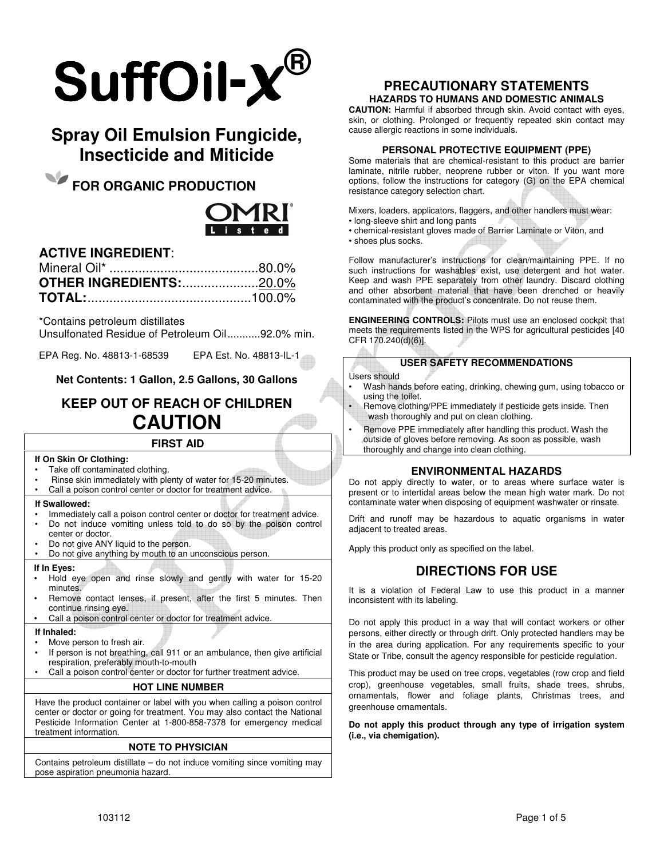

# **Spray Oil Emulsion Fungicide, Insecticide and Miticide**

**FOR ORGANIC PRODUCTION** 



# **ACTIVE INGREDIENT**:

| <b>OTHER INGREDIENTS:20.0%</b> |  |
|--------------------------------|--|
|                                |  |

\*Contains petroleum distillates

Unsulfonated Residue of Petroleum Oil ........... 92.0% min.

EPA Reg. No. 48813-1-68539 EPA Est. No. 48813-IL-1

**Net Contents: 1 Gallon, 2.5 Gallons, 30 Gallons** 

# **KEEP OUT OF REACH OF CHILDREN CAUTION**

# **FIRST AID**

#### **If On Skin Or Clothing:**

- Take off contaminated clothing.
- Rinse skin immediately with plenty of water for 15-20 minutes.
- Call a poison control center or doctor for treatment advice.

### **If Swallowed:**

- Immediately call a poison control center or doctor for treatment advice.
- Do not induce vomiting unless told to do so by the poison control center or doctor.
- Do not give ANY liquid to the person.
- Do not give anything by mouth to an unconscious person.

#### **If In Eyes:**

- Hold eye open and rinse slowly and gently with water for 15-20 minutes.
- Remove contact lenses, if present, after the first 5 minutes. Then continue rinsing eye.
- Call a poison control center or doctor for treatment advice.

#### **If Inhaled:**

- Move person to fresh air.
- If person is not breathing, call 911 or an ambulance, then give artificial respiration, preferably mouth-to-mouth
- Call a poison control center or doctor for further treatment advice.

### **HOT LINE NUMBER**

Have the product container or label with you when calling a poison control center or doctor or going for treatment. You may also contact the National Pesticide Information Center at 1-800-858-7378 for emergency medical treatment information.

#### **NOTE TO PHYSICIAN**

Contains petroleum distillate – do not induce vomiting since vomiting may pose aspiration pneumonia hazard.

## **PRECAUTIONARY STATEMENTS HAZARDS TO HUMANS AND DOMESTIC ANIMALS**

**CAUTION:** Harmful if absorbed through skin. Avoid contact with eyes, skin, or clothing. Prolonged or frequently repeated skin contact may cause allergic reactions in some individuals.

### **PERSONAL PROTECTIVE EQUIPMENT (PPE)**

Some materials that are chemical-resistant to this product are barrier laminate, nitrile rubber, neoprene rubber or viton. If you want more options, follow the instructions for category (G) on the EPA chemical resistance category selection chart.

Mixers, loaders, applicators, flaggers, and other handlers must wear:

- long-sleeve shirt and long pants
- chemical-resistant gloves made of Barrier Laminate or Viton, and
- shoes plus socks.

Follow manufacturer's instructions for clean/maintaining PPE. If no such instructions for washables exist, use detergent and hot water. Keep and wash PPE separately from other laundry. Discard clothing and other absorbent material that have been drenched or heavily contaminated with the product's concentrate. Do not reuse them.

**ENGINEERING CONTROLS:** Pilots must use an enclosed cockpit that meets the requirements listed in the WPS for agricultural pesticides [40 CFR 170.240(d)(6)].

## **USER SAFETY RECOMMENDATIONS**

#### Users should

- Wash hands before eating, drinking, chewing gum, using tobacco or using the toilet.
- Remove clothing/PPE immediately if pesticide gets inside. Then wash thoroughly and put on clean clothing.
- Remove PPE immediately after handling this product. Wash the outside of gloves before removing. As soon as possible, wash thoroughly and change into clean clothing.

# **ENVIRONMENTAL HAZARDS**

Do not apply directly to water, or to areas where surface water is present or to intertidal areas below the mean high water mark. Do not contaminate water when disposing of equipment washwater or rinsate.

Drift and runoff may be hazardous to aquatic organisms in water adjacent to treated areas.

Apply this product only as specified on the label.

# **DIRECTIONS FOR USE**

It is a violation of Federal Law to use this product in a manner inconsistent with its labeling.

Do not apply this product in a way that will contact workers or other persons, either directly or through drift. Only protected handlers may be in the area during application. For any requirements specific to your State or Tribe, consult the agency responsible for pesticide regulation.

This product may be used on tree crops, vegetables (row crop and field crop), greenhouse vegetables, small fruits, shade trees, shrubs, ornamentals, flower and foliage plants, Christmas trees, and greenhouse ornamentals.

**Do not apply this product through any type of irrigation system (i.e., via chemigation).**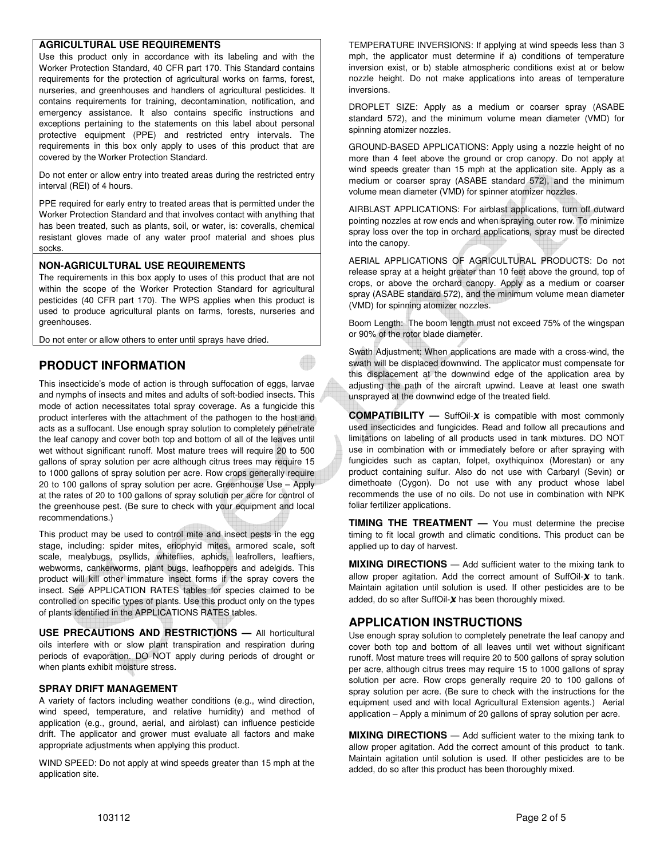## **AGRICULTURAL USE REQUIREMENTS**

Use this product only in accordance with its labeling and with the Worker Protection Standard, 40 CFR part 170. This Standard contains requirements for the protection of agricultural works on farms, forest, nurseries, and greenhouses and handlers of agricultural pesticides. It contains requirements for training, decontamination, notification, and emergency assistance. It also contains specific instructions and exceptions pertaining to the statements on this label about personal protective equipment (PPE) and restricted entry intervals. The requirements in this box only apply to uses of this product that are covered by the Worker Protection Standard.

Do not enter or allow entry into treated areas during the restricted entry interval (REI) of 4 hours.

PPE required for early entry to treated areas that is permitted under the Worker Protection Standard and that involves contact with anything that has been treated, such as plants, soil, or water, is: coveralls, chemical resistant gloves made of any water proof material and shoes plus socks.

#### **NON-AGRICULTURAL USE REQUIREMENTS**

The requirements in this box apply to uses of this product that are not within the scope of the Worker Protection Standard for agricultural pesticides (40 CFR part 170). The WPS applies when this product is used to produce agricultural plants on farms, forests, nurseries and greenhouses.

Do not enter or allow others to enter until sprays have dried.

# **PRODUCT INFORMATION**

This insecticide's mode of action is through suffocation of eggs, larvae and nymphs of insects and mites and adults of soft-bodied insects. This mode of action necessitates total spray coverage. As a fungicide this product interferes with the attachment of the pathogen to the host and acts as a suffocant. Use enough spray solution to completely penetrate the leaf canopy and cover both top and bottom of all of the leaves until wet without significant runoff. Most mature trees will require 20 to 500 gallons of spray solution per acre although citrus trees may require 15 to 1000 gallons of spray solution per acre. Row crops generally require 20 to 100 gallons of spray solution per acre. Greenhouse Use – Apply at the rates of 20 to 100 gallons of spray solution per acre for control of the greenhouse pest. (Be sure to check with your equipment and local recommendations.)

This product may be used to control mite and insect pests in the egg stage, including: spider mites, eriophyid mites, armored scale, soft scale, mealybugs, psyllids, whiteflies, aphids, leafrollers, leaftiers, webworms, cankerworms, plant bugs, leafhoppers and adelgids. This product will kill other immature insect forms if the spray covers the insect. See APPLICATION RATES tables for species claimed to be controlled on specific types of plants. Use this product only on the types of plants identified in the APPLICATIONS RATES tables.

**USE PRECAUTIONS AND RESTRICTIONS —** All horticultural oils interfere with or slow plant transpiration and respiration during periods of evaporation. DO NOT apply during periods of drought or when plants exhibit moisture stress.

#### **SPRAY DRIFT MANAGEMENT**

A variety of factors including weather conditions (e.g., wind direction, wind speed, temperature, and relative humidity) and method of application (e.g., ground, aerial, and airblast) can influence pesticide drift. The applicator and grower must evaluate all factors and make appropriate adjustments when applying this product.

WIND SPEED: Do not apply at wind speeds greater than 15 mph at the application site.

TEMPERATURE INVERSIONS: If applying at wind speeds less than 3 mph, the applicator must determine if a) conditions of temperature inversion exist, or b) stable atmospheric conditions exist at or below nozzle height. Do not make applications into areas of temperature inversions.

DROPLET SIZE: Apply as a medium or coarser spray (ASABE standard 572), and the minimum volume mean diameter (VMD) for spinning atomizer nozzles.

GROUND-BASED APPLICATIONS: Apply using a nozzle height of no more than 4 feet above the ground or crop canopy. Do not apply at wind speeds greater than 15 mph at the application site. Apply as a medium or coarser spray (ASABE standard 572), and the minimum volume mean diameter (VMD) for spinner atomizer nozzles.

AIRBLAST APPLICATIONS: For airblast applications, turn off outward pointing nozzles at row ends and when spraying outer row. To minimize spray loss over the top in orchard applications, spray must be directed into the canopy.

AERIAL APPLICATIONS OF AGRICULTURAL PRODUCTS: Do not release spray at a height greater than 10 feet above the ground, top of crops, or above the orchard canopy. Apply as a medium or coarser spray (ASABE standard 572), and the minimum volume mean diameter (VMD) for spinning atomizer nozzles.

Boom Length: The boom length must not exceed 75% of the wingspan or 90% of the rotor blade diameter.

Swath Adjustment: When applications are made with a cross-wind, the swath will be displaced downwind. The applicator must compensate for this displacement at the downwind edge of the application area by adjusting the path of the aircraft upwind. Leave at least one swath unsprayed at the downwind edge of the treated field.

**COMPATIBILITY** — SuffOil-**x** is compatible with most commonly used insecticides and fungicides. Read and follow all precautions and limitations on labeling of all products used in tank mixtures. DO NOT use in combination with or immediately before or after spraying with fungicides such as captan, folpet, oxythiquinox (Morestan) or any product containing sulfur. Also do not use with Carbaryl (Sevin) or dimethoate (Cygon). Do not use with any product whose label recommends the use of no oils. Do not use in combination with NPK foliar fertilizer applications.

**TIMING THE TREATMENT —** You must determine the precise timing to fit local growth and climatic conditions. This product can be applied up to day of harvest.

**MIXING DIRECTIONS** - Add sufficient water to the mixing tank to allow proper agitation. Add the correct amount of SuffOil- $\chi$  to tank. Maintain agitation until solution is used. If other pesticides are to be added, do so after SuffOil- *has been thoroughly mixed.* 

# **APPLICATION INSTRUCTIONS**

Use enough spray solution to completely penetrate the leaf canopy and cover both top and bottom of all leaves until wet without significant runoff. Most mature trees will require 20 to 500 gallons of spray solution per acre, although citrus trees may require 15 to 1000 gallons of spray solution per acre. Row crops generally require 20 to 100 gallons of spray solution per acre. (Be sure to check with the instructions for the equipment used and with local Agricultural Extension agents.) Aerial application – Apply a minimum of 20 gallons of spray solution per acre.

**MIXING DIRECTIONS** — Add sufficient water to the mixing tank to allow proper agitation. Add the correct amount of this product to tank. Maintain agitation until solution is used. If other pesticides are to be added, do so after this product has been thoroughly mixed.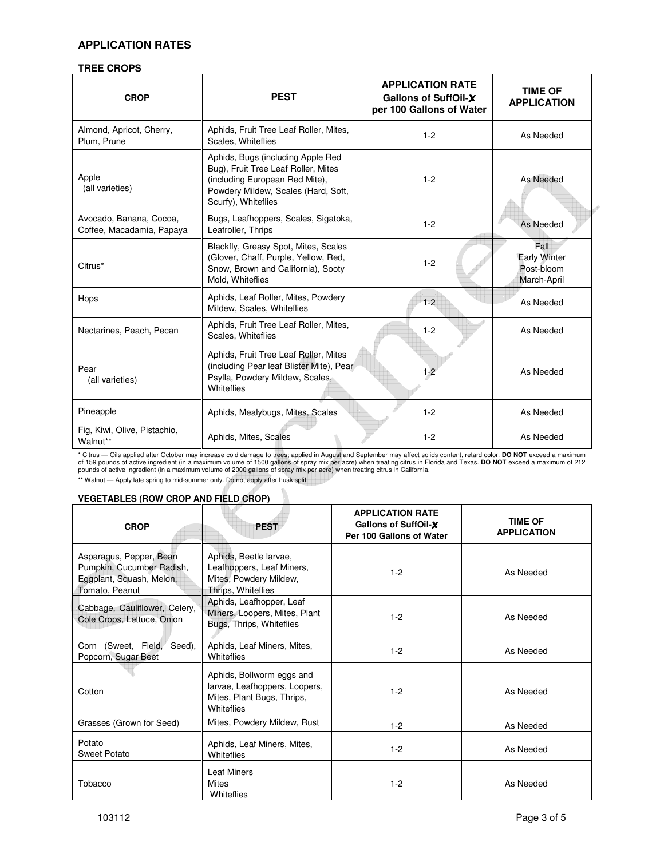# **APPLICATION RATES**

## **TREE CROPS**

| <b>CROP</b>                                          | <b>PEST</b>                                                                                                                                                              | <b>APPLICATION RATE</b><br>Gallons of SuffOil-X<br>per 100 Gallons of Water | <b>TIME OF</b><br><b>APPLICATION</b>                     |
|------------------------------------------------------|--------------------------------------------------------------------------------------------------------------------------------------------------------------------------|-----------------------------------------------------------------------------|----------------------------------------------------------|
| Almond, Apricot, Cherry,<br>Plum, Prune              | Aphids, Fruit Tree Leaf Roller, Mites,<br>Scales, Whiteflies                                                                                                             | $1 - 2$                                                                     | As Needed                                                |
| Apple<br>(all varieties)                             | Aphids, Bugs (including Apple Red<br>Bug), Fruit Tree Leaf Roller, Mites<br>(including European Red Mite),<br>Powdery Mildew, Scales (Hard, Soft,<br>Scurfy), Whiteflies | $1 - 2$                                                                     | As Needed                                                |
| Avocado, Banana, Cocoa,<br>Coffee, Macadamia, Papaya | Bugs, Leafhoppers, Scales, Sigatoka,<br>Leafroller, Thrips                                                                                                               | $1 - 2$                                                                     | As Needed                                                |
| Citrus*                                              | Blackfly, Greasy Spot, Mites, Scales<br>(Glover, Chaff, Purple, Yellow, Red,<br>Snow, Brown and California), Sooty<br>Mold, Whiteflies                                   | $1 - 2$                                                                     | Fall<br><b>Early Winter</b><br>Post-bloom<br>March-April |
| Hops                                                 | Aphids, Leaf Roller, Mites, Powdery<br>Mildew, Scales, Whiteflies                                                                                                        | $1 - 2$                                                                     | As Needed                                                |
| Nectarines, Peach, Pecan                             | Aphids, Fruit Tree Leaf Roller, Mites,<br>Scales, Whiteflies                                                                                                             | $1 - 2$                                                                     | As Needed                                                |
| Pear<br>(all varieties)                              | Aphids, Fruit Tree Leaf Roller, Mites<br>(including Pear leaf Blister Mite), Pear<br>Psylla, Powdery Mildew, Scales,<br>Whiteflies                                       | $1 - 2$                                                                     | As Needed                                                |
| Pineapple                                            | Aphids, Mealybugs, Mites, Scales                                                                                                                                         | $1 - 2$                                                                     | As Needed                                                |
| Fig, Kiwi, Olive, Pistachio,<br>Walnut**             | Aphids, Mites, Scales                                                                                                                                                    | $1 - 2$                                                                     | As Needed                                                |

\* Citrus — Oils applied after October may increase cold damage to trees; applied in August and September may affect solids content, retard color. **DO NOT** exceed a maximum<br>of 159 pounds of active ingredient (in a maximum v

\*\* Walnut — Apply late spring to mid-summer only. Do not apply after husk split.

## **VEGETABLES (ROW CROP AND FIELD CROP)**

| <b>CROP</b>                                                                                        | <b>PEST</b>                                                                                            | <b>APPLICATION RATE</b><br>Gallons of SuffOil-X<br>Per 100 Gallons of Water | <b>TIME OF</b><br><b>APPLICATION</b> |
|----------------------------------------------------------------------------------------------------|--------------------------------------------------------------------------------------------------------|-----------------------------------------------------------------------------|--------------------------------------|
| Asparagus, Pepper, Bean<br>Pumpkin, Cucumber Radish,<br>Eggplant, Squash, Melon,<br>Tomato, Peanut | Aphids, Beetle larvae,<br>Leafhoppers, Leaf Miners,<br>Mites, Powdery Mildew,<br>Thrips, Whiteflies    | $1 - 2$                                                                     | As Needed                            |
| Cabbage, Cauliflower, Celery,<br>Cole Crops, Lettuce, Onion                                        | Aphids, Leafhopper, Leaf<br>Miners, Loopers, Mites, Plant<br>Bugs, Thrips, Whiteflies                  | $1 - 2$                                                                     | As Needed                            |
| Corn (Sweet, Field, Seed),<br>Popcorn, Sugar Beet                                                  | Aphids, Leaf Miners, Mites,<br>Whiteflies                                                              | $1 - 2$                                                                     | As Needed                            |
| Cotton                                                                                             | Aphids, Bollworm eggs and<br>larvae, Leafhoppers, Loopers,<br>Mites, Plant Bugs, Thrips,<br>Whiteflies | $1 - 2$                                                                     | As Needed                            |
| Grasses (Grown for Seed)                                                                           | Mites, Powdery Mildew, Rust                                                                            | $1 - 2$                                                                     | As Needed                            |
| Potato<br>Sweet Potato                                                                             | Aphids, Leaf Miners, Mites,<br>Whiteflies                                                              | $1 - 2$                                                                     | As Needed                            |
| Tobacco                                                                                            | <b>Leaf Miners</b><br><b>Mites</b><br>Whiteflies                                                       | $1 - 2$                                                                     | As Needed                            |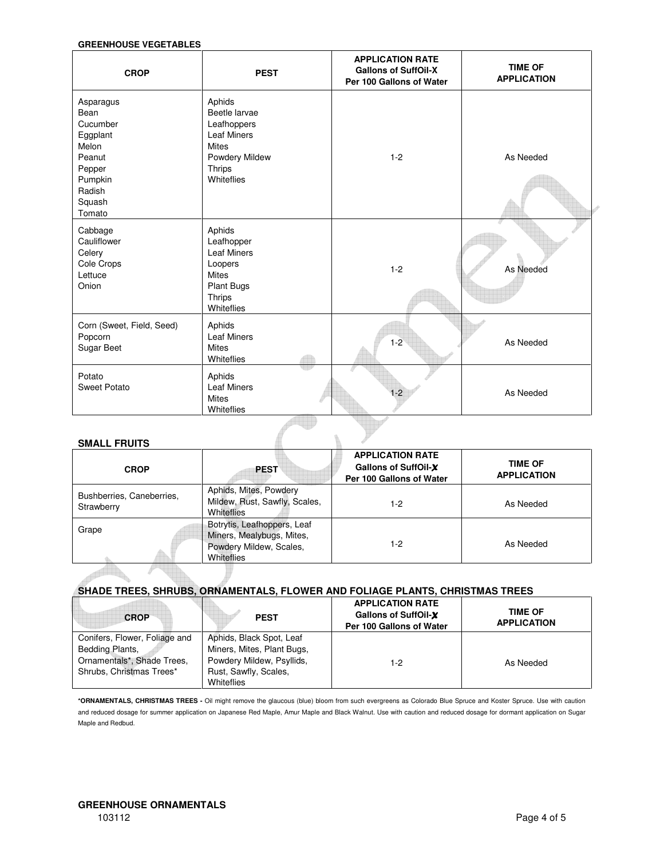## **GREENHOUSE VEGETABLES**

| <b>CROP</b>                                                                                                     | <b>PEST</b>                                                                                                                   | <b>APPLICATION RATE</b><br><b>Gallons of SuffOil-X</b><br>Per 100 Gallons of Water | <b>TIME OF</b><br><b>APPLICATION</b> |
|-----------------------------------------------------------------------------------------------------------------|-------------------------------------------------------------------------------------------------------------------------------|------------------------------------------------------------------------------------|--------------------------------------|
| Asparagus<br>Bean<br>Cucumber<br>Eggplant<br>Melon<br>Peanut<br>Pepper<br>Pumpkin<br>Radish<br>Squash<br>Tomato | Aphids<br>Beetle larvae<br>Leafhoppers<br><b>Leaf Miners</b><br><b>Mites</b><br>Powdery Mildew<br><b>Thrips</b><br>Whiteflies | $1 - 2$                                                                            | As Needed                            |
| Cabbage<br>Cauliflower<br>Celery<br>Cole Crops<br>Lettuce<br>Onion                                              | Aphids<br>Leafhopper<br><b>Leaf Miners</b><br>Loopers<br><b>Mites</b><br><b>Plant Bugs</b><br><b>Thrips</b><br>Whiteflies     | $1 - 2$                                                                            | As Needed                            |
| Corn (Sweet, Field, Seed)<br>Popcorn<br>Sugar Beet                                                              | Aphids<br><b>Leaf Miners</b><br><b>Mites</b><br>Whiteflies                                                                    | $1 - 2$                                                                            | As Needed                            |
| Potato<br><b>Sweet Potato</b>                                                                                   | Aphids<br><b>Leaf Miners</b><br><b>Mites</b><br>Whiteflies                                                                    | $1 - 2$                                                                            | As Needed                            |

#### **SMALL FRUITS**

| <b>CROP</b>                             | <b>PEST</b>                                                                                       | <b>APPLICATION RATE</b><br>Gallons of SuffOil-X<br>Per 100 Gallons of Water | <b>TIME OF</b><br><b>APPLICATION</b> |
|-----------------------------------------|---------------------------------------------------------------------------------------------------|-----------------------------------------------------------------------------|--------------------------------------|
| Bushberries, Caneberries,<br>Strawberry | Aphids, Mites, Powdery<br>Mildew, Rust, Sawfly, Scales,<br>Whiteflies                             | $1-2$                                                                       | As Needed                            |
| Grape                                   | Botrytis, Leafhoppers, Leaf<br>Miners, Mealybugs, Mites,<br>Powdery Mildew, Scales,<br>Whiteflies | 1-2                                                                         | As Needed                            |
|                                         |                                                                                                   |                                                                             |                                      |

## **SHADE TREES, SHRUBS, ORNAMENTALS, FLOWER AND FOLIAGE PLANTS, CHRISTMAS TREES**

| <b>CROP</b>                   | <b>PEST</b>                | <b>APPLICATION RATE</b><br>Gallons of SuffOil-X<br>Per 100 Gallons of Water | <b>TIME OF</b><br><b>APPLICATION</b> |
|-------------------------------|----------------------------|-----------------------------------------------------------------------------|--------------------------------------|
| Conifers, Flower, Foliage and | Aphids, Black Spot, Leaf   |                                                                             |                                      |
| Bedding Plants,               | Miners, Mites, Plant Bugs, |                                                                             |                                      |
| Ornamentals*, Shade Trees,    | Powdery Mildew, Psyllids,  | 1-2                                                                         | As Needed                            |
| Shrubs, Christmas Trees*      | Rust, Sawfly, Scales,      |                                                                             |                                      |
|                               | Whiteflies                 |                                                                             |                                      |

**\*ORNAMENTALS, CHRISTMAS TREES -** Oil might remove the glaucous (blue) bloom from such evergreens as Colorado Blue Spruce and Koster Spruce. Use with caution and reduced dosage for summer application on Japanese Red Maple, Amur Maple and Black Walnut. Use with caution and reduced dosage for dormant application on Sugar Maple and Redbud.